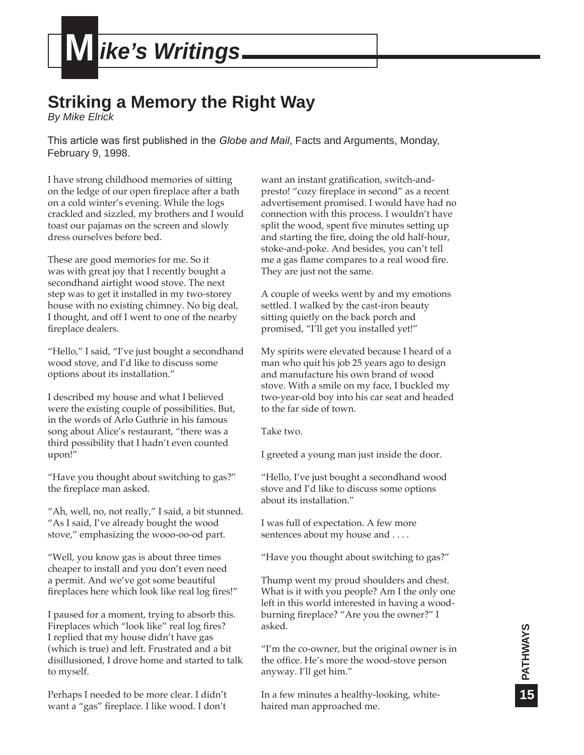## **M** *ike's Writings*

## **Striking a Memory the Right Way**

*By Mike Elrick*

This article was first published in the *Globe and Mail*, Facts and Arguments, Monday, February 9, 1998.

I have strong childhood memories of sitting on the ledge of our open fireplace after a bath on a cold winter's evening. While the logs crackled and sizzled, my brothers and I would toast our pajamas on the screen and slowly dress ourselves before bed.

These are good memories for me. So it was with great joy that I recently bought a secondhand airtight wood stove. The next step was to get it installed in my two-storey house with no existing chimney. No big deal, I thought, and off I went to one of the nearby fireplace dealers.

"Hello," I said, "I've just bought a secondhand wood stove, and I'd like to discuss some options about its installation."

I described my house and what I believed were the existing couple of possibilities. But, in the words of Arlo Guthrie in his famous song about Alice's restaurant, "there was a third possibility that I hadn't even counted upon!"

"Have you thought about switching to gas?" the fireplace man asked.

"Ah, well, no, not really," I said, a bit stunned. "As I said, I've already bought the wood stove," emphasizing the wooo-oo-od part.

"Well, you know gas is about three times cheaper to install and you don't even need a permit. And we've got some beautiful fireplaces here which look like real log fires!"

I paused for a moment, trying to absorb this. Fireplaces which "look like" real log fires? I replied that my house didn't have gas (which is true) and left. Frustrated and a bit disillusioned, I drove home and started to talk to myself.

Perhaps I needed to be more clear. I didn't want a "gas" fireplace. I like wood. I don't

want an instant gratification, switch-andpresto! "cozy fireplace in second" as a recent advertisement promised. I would have had no connection with this process. I wouldn't have split the wood, spent five minutes setting up and starting the fire, doing the old half-hour, stoke-and-poke. And besides, you can't tell me a gas flame compares to a real wood fire. They are just not the same.

A couple of weeks went by and my emotions settled. I walked by the cast-iron beauty sitting quietly on the back porch and promised, "I'll get you installed yet!"

My spirits were elevated because I heard of a man who quit his job 25 years ago to design and manufacture his own brand of wood stove. With a smile on my face, I buckled my two-year-old boy into his car seat and headed to the far side of town.

Take two.

I greeted a young man just inside the door.

"Hello, I've just bought a secondhand wood stove and I'd like to discuss some options about its installation."

I was full of expectation. A few more sentences about my house and . . . .

"Have you thought about switching to gas?"

Thump went my proud shoulders and chest. What is it with you people? Am I the only one left in this world interested in having a woodburning fireplace? "Are you the owner?" I asked.

"I'm the co-owner, but the original owner is in the office. He's more the wood-stove person anyway. I'll get him."

In a few minutes a healthy-looking, whitehaired man approached me.